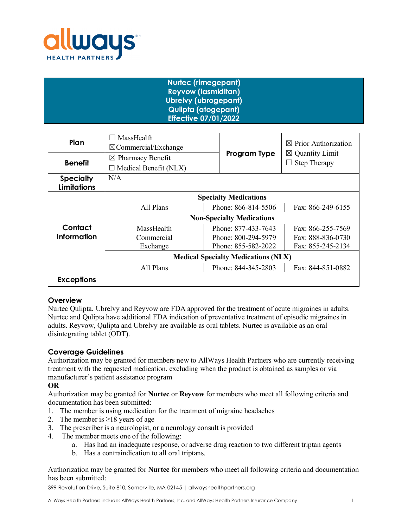

# **Nurtec (rimegepant) Reyvow (lasmiditan) Ubrelvy (ubrogepant) Qulipta (atogepant) Effective 07/01/2022**

| Plan                                   | MassHealth<br>$\boxtimes$ Commercial/Exchange |  |                                          | $\boxtimes$ Prior Authorization |  |
|----------------------------------------|-----------------------------------------------|--|------------------------------------------|---------------------------------|--|
| <b>Benefit</b>                         | $\boxtimes$ Pharmacy Benefit                  |  | Program Type                             | $\boxtimes$ Quantity Limit      |  |
|                                        | $\Box$ Medical Benefit (NLX)                  |  |                                          | <b>Step Therapy</b>             |  |
| <b>Specialty</b><br><b>Limitations</b> | N/A                                           |  |                                          |                                 |  |
|                                        | <b>Specialty Medications</b>                  |  |                                          |                                 |  |
|                                        | All Plans                                     |  | Phone: 866-814-5506                      | Fax: 866-249-6155               |  |
|                                        | <b>Non-Specialty Medications</b>              |  |                                          |                                 |  |
| Contact                                | MassHealth                                    |  | Phone: 877-433-7643                      | Fax: 866-255-7569               |  |
| Information                            | Commercial                                    |  | Phone: 800-294-5979<br>Fax: 888-836-0730 |                                 |  |
|                                        | Exchange                                      |  | Phone: 855-582-2022                      | Fax: 855-245-2134               |  |
|                                        | <b>Medical Specialty Medications (NLX)</b>    |  |                                          |                                 |  |
|                                        | All Plans                                     |  | Phone: 844-345-2803                      | Fax: 844-851-0882               |  |
| <b>Exceptions</b>                      |                                               |  |                                          |                                 |  |

## **Overview**

Nurtec Qulipta, Ubrelvy and Reyvow are FDA approved for the treatment of acute migraines in adults. Nurtec and Qulipta have additional FDA indication of preventative treatment of episodic migraines in adults. Reyvow, Qulipta and Ubrelvy are available as oral tablets. Nurtec is available as an oral disintegrating tablet (ODT).

## **Coverage Guidelines**

Authorization may be granted for members new to AllWays Health Partners who are currently receiving treatment with the requested medication, excluding when the product is obtained as samples or via manufacturer's patient assistance program

## **OR**

Authorization may be granted for **Nurtec** or **Reyvow** for members who meet all following criteria and documentation has been submitted:

- 1. The member is using medication for the treatment of migraine headaches
- 2. The member is  $\geq$ 18 years of age
- 3. The prescriber is a neurologist, or a neurology consult is provided
- 4. The member meets one of the following:
	- a. Has had an inadequate response, or adverse drug reaction to two different triptan agents
	- b. Has a contraindication to all oral triptans.

Authorization may be granted for **Nurtec** for members who meet all following criteria and documentation has been submitted:

399 Revolution Drive, Suite 810, Somerville, MA 02145 | allwayshealthpartners.org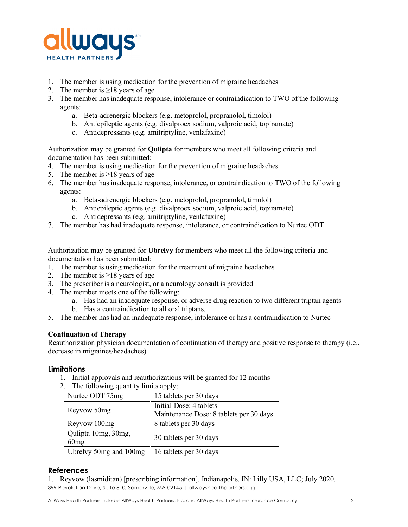

- 1. The member is using medication for the prevention of migraine headaches
- 2. The member is  $\geq$ 18 years of age
- 3. The member has inadequate response, intolerance or contraindication to TWO of the following agents:
	- a. Beta-adrenergic blockers (e.g. metoprolol, propranolol, timolol)
	- b. Antiepileptic agents (e.g. divalproex sodium, valproic acid, topiramate)
	- c. Antidepressants (e.g. amitriptyline, venlafaxine)

Authorization may be granted for **Qulipta** for members who meet all following criteria and documentation has been submitted:

- 4. The member is using medication for the prevention of migraine headaches
- 5. The member is  $\geq$ 18 years of age
- 6. The member has inadequate response, intolerance, or contraindication to TWO of the following agents:
	- a. Beta-adrenergic blockers (e.g. metoprolol, propranolol, timolol)
	- b. Antiepileptic agents (e.g. divalproex sodium, valproic acid, topiramate)
	- c. Antidepressants (e.g. amitriptyline, venlafaxine)
- 7. The member has had inadequate response, intolerance, or contraindication to Nurtec ODT

Authorization may be granted for **Ubrelvy** for members who meet all the following criteria and documentation has been submitted:

- 1. The member is using medication for the treatment of migraine headaches
- 2. The member is  $\geq$ 18 years of age
- 3. The prescriber is a neurologist, or a neurology consult is provided
- 4. The member meets one of the following:
	- a. Has had an inadequate response, or adverse drug reaction to two different triptan agents
	- b. Has a contraindication to all oral triptans.
- 5. The member has had an inadequate response, intolerance or has a contraindication to Nurtec

## **Continuation of Therapy**

Reauthorization physician documentation of continuation of therapy and positive response to therapy (i.e., decrease in migraines/headaches).

## **Limitations**

1. Initial approvals and reauthorizations will be granted for 12 months

| $\mathcal{L}$ . The forlowing quantity millies apply. |                                         |  |  |
|-------------------------------------------------------|-----------------------------------------|--|--|
| Nurtec ODT 75mg                                       | 15 tablets per 30 days                  |  |  |
| Reyvow 50mg                                           | Initial Dose: 4 tablets                 |  |  |
|                                                       | Maintenance Dose: 8 tablets per 30 days |  |  |
| Reyvow 100mg                                          | 8 tablets per 30 days                   |  |  |
| Qulipta 10mg, 30mg,                                   | 30 tablets per 30 days                  |  |  |
| 60mg                                                  |                                         |  |  |
| Ubrelvy 50mg and 100mg                                | 16 tablets per 30 days                  |  |  |

## 2. The following quantity limits apply:

# **References**

399 Revolution Drive, Suite 810, Somerville, MA 02145 | allwayshealthpartners.org 1. Reyvow (lasmiditan) [prescribing information]. Indianapolis, IN: Lilly USA, LLC; July 2020.